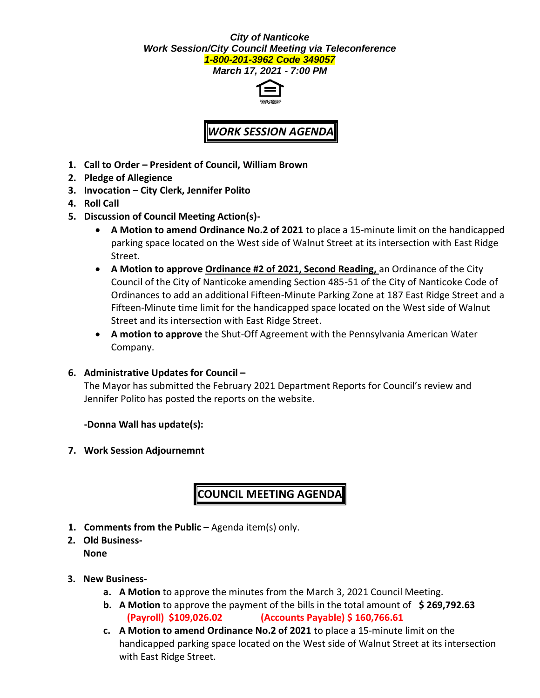## *City of Nanticoke Work Session/City Council Meeting via Teleconference 1-800-201-3962 Code 349057*

*March 17, 2021 - 7:00 PM*



## *WORK SESSION AGENDA*

- **1. Call to Order – President of Council, William Brown**
- **2. Pledge of Allegience**
- **3. Invocation – City Clerk, Jennifer Polito**
- **4. Roll Call**
- **5. Discussion of Council Meeting Action(s)-**
	- **A Motion to amend Ordinance No.2 of 2021** to place a 15-minute limit on the handicapped parking space located on the West side of Walnut Street at its intersection with East Ridge Street.
	- **A Motion to approve Ordinance #2 of 2021, Second Reading, an Ordinance of the City** Council of the City of Nanticoke amending Section 485-51 of the City of Nanticoke Code of Ordinances to add an additional Fifteen-Minute Parking Zone at 187 East Ridge Street and a Fifteen-Minute time limit for the handicapped space located on the West side of Walnut Street and its intersection with East Ridge Street.
	- **A motion to approve** the Shut-Off Agreement with the Pennsylvania American Water Company.
- **6. Administrative Updates for Council –**

The Mayor has submitted the February 2021 Department Reports for Council's review and Jennifer Polito has posted the reports on the website.

**-Donna Wall has update(s):**

**7. Work Session Adjournemnt**

## **COUNCIL MEETING AGENDA**

- **1. Comments from the Public –** Agenda item(s) only.
- **2. Old Business-None**
- **3. New Business**
	- **a. A Motion** to approve the minutes from the March 3, 2021 Council Meeting.
	- **b. A Motion** to approve the payment of the bills in the total amount of **\$ 269,792.63 (Payroll) \$109,026.02 (Accounts Payable) \$ 160,766.61**
	- **c. A Motion to amend Ordinance No.2 of 2021** to place a 15-minute limit on the handicapped parking space located on the West side of Walnut Street at its intersection with East Ridge Street.